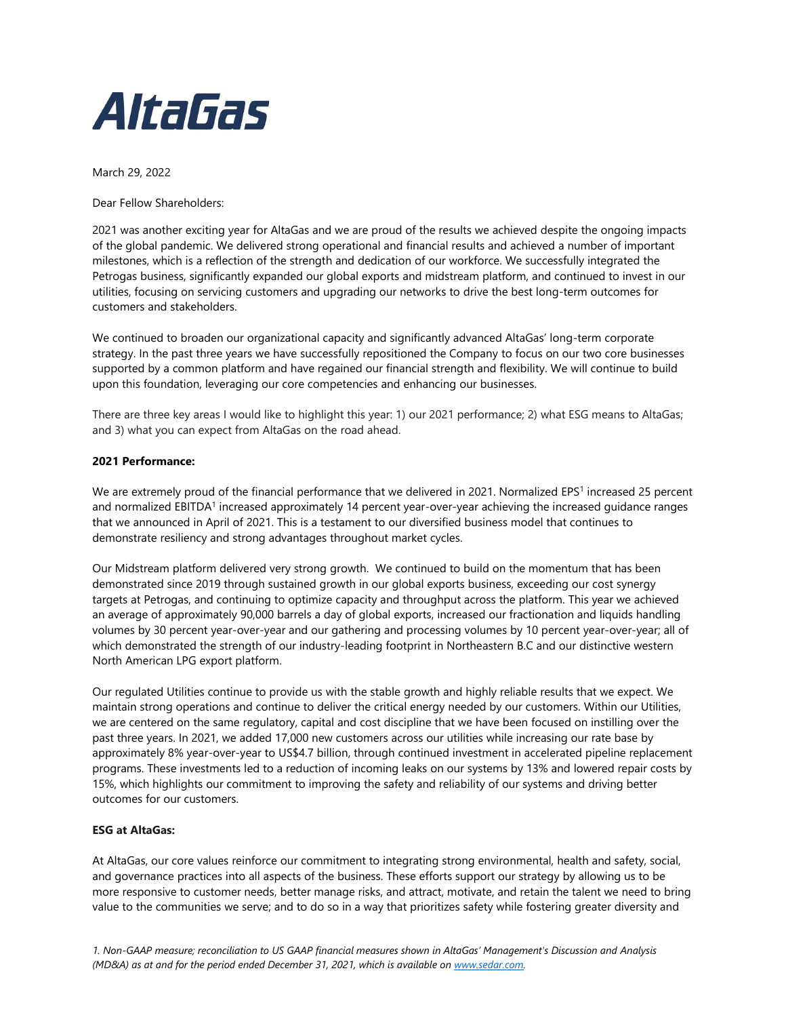

March 29, 2022

Dear Fellow Shareholders:

2021 was another exciting year for AltaGas and we are proud of the results we achieved despite the ongoing impacts of the global pandemic. We delivered strong operational and financial results and achieved a number of important milestones, which is a reflection of the strength and dedication of our workforce. We successfully integrated the Petrogas business, significantly expanded our global exports and midstream platform, and continued to invest in our utilities, focusing on servicing customers and upgrading our networks to drive the best long-term outcomes for customers and stakeholders.

We continued to broaden our organizational capacity and significantly advanced AltaGas' long-term corporate strategy. In the past three years we have successfully repositioned the Company to focus on our two core businesses supported by a common platform and have regained our financial strength and flexibility. We will continue to build upon this foundation, leveraging our core competencies and enhancing our businesses.

There are three key areas I would like to highlight this year: 1) our 2021 performance; 2) what ESG means to AltaGas; and 3) what you can expect from AltaGas on the road ahead.

## **2021 Performance:**

We are extremely proud of the financial performance that we delivered in 2021. Normalized EPS<sup>1</sup> increased 25 percent and normalized EBITDA<sup>1</sup> increased approximately 14 percent year-over-year achieving the increased guidance ranges that we announced in April of 2021. This is a testament to our diversified business model that continues to demonstrate resiliency and strong advantages throughout market cycles.

Our Midstream platform delivered very strong growth. We continued to build on the momentum that has been demonstrated since 2019 through sustained growth in our global exports business, exceeding our cost synergy targets at Petrogas, and continuing to optimize capacity and throughput across the platform. This year we achieved an average of approximately 90,000 barrels a day of global exports, increased our fractionation and liquids handling volumes by 30 percent year-over-year and our gathering and processing volumes by 10 percent year-over-year; all of which demonstrated the strength of our industry-leading footprint in Northeastern B.C and our distinctive western North American LPG export platform.

Our regulated Utilities continue to provide us with the stable growth and highly reliable results that we expect. We maintain strong operations and continue to deliver the critical energy needed by our customers. Within our Utilities, we are centered on the same regulatory, capital and cost discipline that we have been focused on instilling over the past three years. In 2021, we added 17,000 new customers across our utilities while increasing our rate base by approximately 8% year-over-year to US\$4.7 billion, through continued investment in accelerated pipeline replacement programs. These investments led to a reduction of incoming leaks on our systems by 13% and lowered repair costs by 15%, which highlights our commitment to improving the safety and reliability of our systems and driving better outcomes for our customers.

## **ESG at AltaGas:**

At AltaGas, our core values reinforce our commitment to integrating strong environmental, health and safety, social, and governance practices into all aspects of the business. These efforts support our strategy by allowing us to be more responsive to customer needs, better manage risks, and attract, motivate, and retain the talent we need to bring value to the communities we serve; and to do so in a way that prioritizes safety while fostering greater diversity and